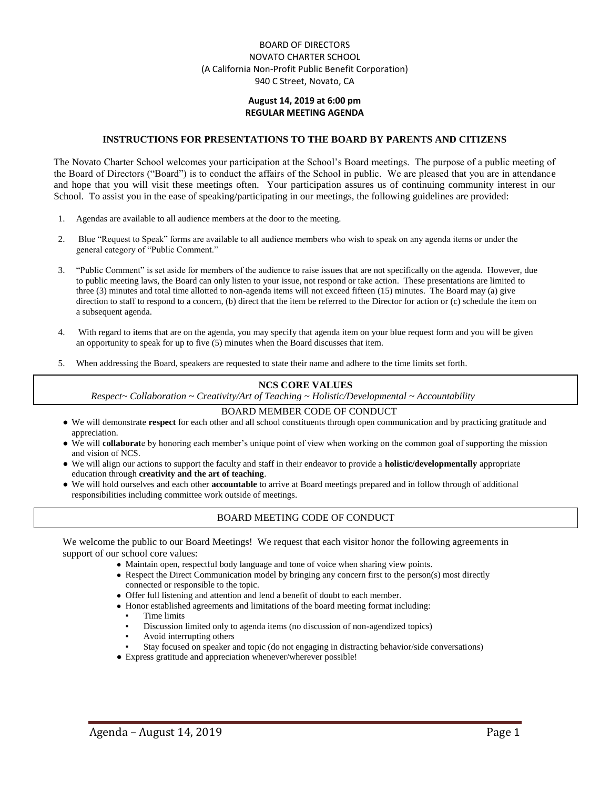### BOARD OF DIRECTORS NOVATO CHARTER SCHOOL (A California Non-Profit Public Benefit Corporation) 940 C Street, Novato, CA

#### **August 14, 2019 at 6:00 pm REGULAR MEETING AGENDA**

#### **INSTRUCTIONS FOR PRESENTATIONS TO THE BOARD BY PARENTS AND CITIZENS**

The Novato Charter School welcomes your participation at the School's Board meetings. The purpose of a public meeting of the Board of Directors ("Board") is to conduct the affairs of the School in public. We are pleased that you are in attendance and hope that you will visit these meetings often. Your participation assures us of continuing community interest in our School. To assist you in the ease of speaking/participating in our meetings, the following guidelines are provided:

- 1. Agendas are available to all audience members at the door to the meeting.
- 2. Blue "Request to Speak" forms are available to all audience members who wish to speak on any agenda items or under the general category of "Public Comment."
- 3. "Public Comment" is set aside for members of the audience to raise issues that are not specifically on the agenda. However, due to public meeting laws, the Board can only listen to your issue, not respond or take action. These presentations are limited to three (3) minutes and total time allotted to non-agenda items will not exceed fifteen (15) minutes. The Board may (a) give direction to staff to respond to a concern, (b) direct that the item be referred to the Director for action or (c) schedule the item on a subsequent agenda.
- 4. With regard to items that are on the agenda, you may specify that agenda item on your blue request form and you will be given an opportunity to speak for up to five (5) minutes when the Board discusses that item.
- 5. When addressing the Board, speakers are requested to state their name and adhere to the time limits set forth.

#### **NCS CORE VALUES**

*Respect~ Collaboration ~ Creativity/Art of Teaching ~ Holistic/Developmental ~ Accountability*

#### BOARD MEMBER CODE OF CONDUCT

- We will demonstrate **respect** for each other and all school constituents through open communication and by practicing gratitude and appreciation.
- We will **collaborat**e by honoring each member's unique point of view when working on the common goal of supporting the mission and vision of NCS.
- We will align our actions to support the faculty and staff in their endeavor to provide a **holistic/developmentally** appropriate education through **creativity and the art of teaching**.
- We will hold ourselves and each other **accountable** to arrive at Board meetings prepared and in follow through of additional responsibilities including committee work outside of meetings.

### BOARD MEETING CODE OF CONDUCT

We welcome the public to our Board Meetings! We request that each visitor honor the following agreements in support of our school core values:

- Maintain open, respectful body language and tone of voice when sharing view points.
- Respect the Direct Communication model by bringing any concern first to the person(s) most directly connected or responsible to the topic.
- Offer full listening and attention and lend a benefit of doubt to each member.
- Honor established agreements and limitations of the board meeting format including:
	- Time limits
	- Discussion limited only to agenda items (no discussion of non-agendized topics)
	- Avoid interrupting others
	- Stay focused on speaker and topic (do not engaging in distracting behavior/side conversations)
- Express gratitude and appreciation whenever/wherever possible!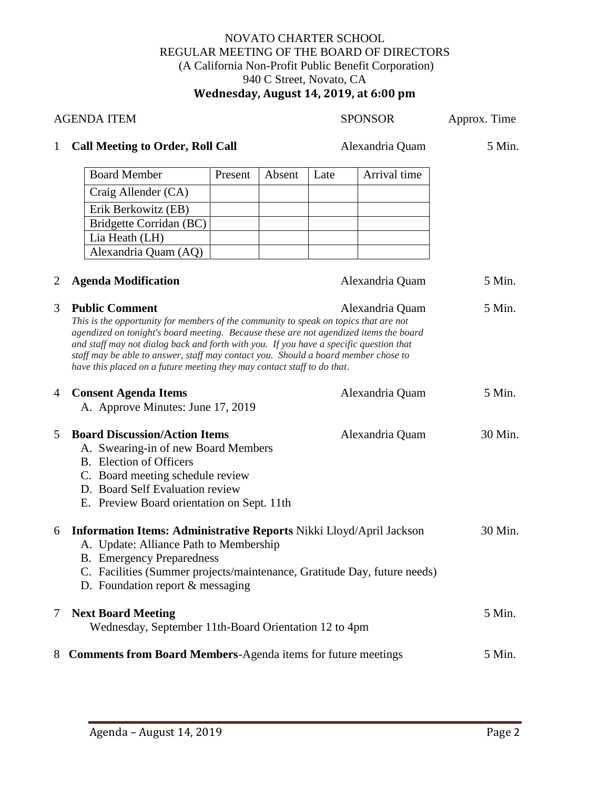## NOVATO CHARTER SCHOOL REGULAR MEETING OF THE BOARD OF DIRECTORS (A California Non-Profit Public Benefit Corporation) 940 C Street, Novato, CA **Wednesday, August 14, 2019, at 6:00 pm**

| <b>AGENDA ITEM</b> |                                                                                                                                                                                                                                                                                                                                                                                                                                                                                      |         |                 | <b>SPONSOR</b>  |                 | Approx. Time |
|--------------------|--------------------------------------------------------------------------------------------------------------------------------------------------------------------------------------------------------------------------------------------------------------------------------------------------------------------------------------------------------------------------------------------------------------------------------------------------------------------------------------|---------|-----------------|-----------------|-----------------|--------------|
| $\mathbf{1}$       | <b>Call Meeting to Order, Roll Call</b>                                                                                                                                                                                                                                                                                                                                                                                                                                              |         | Alexandria Quam |                 | 5 Min.          |              |
|                    | <b>Board Member</b>                                                                                                                                                                                                                                                                                                                                                                                                                                                                  | Present | Absent          | Late            | Arrival time    |              |
|                    | Craig Allender (CA)                                                                                                                                                                                                                                                                                                                                                                                                                                                                  |         |                 |                 |                 |              |
|                    | Erik Berkowitz (EB)                                                                                                                                                                                                                                                                                                                                                                                                                                                                  |         |                 |                 |                 |              |
|                    | Bridgette Corridan (BC)                                                                                                                                                                                                                                                                                                                                                                                                                                                              |         |                 |                 |                 |              |
|                    | Lia Heath (LH)                                                                                                                                                                                                                                                                                                                                                                                                                                                                       |         |                 |                 |                 |              |
|                    | Alexandria Quam (AQ)                                                                                                                                                                                                                                                                                                                                                                                                                                                                 |         |                 |                 |                 |              |
| 2                  | <b>Agenda Modification</b>                                                                                                                                                                                                                                                                                                                                                                                                                                                           |         |                 |                 | Alexandria Quam | 5 Min.       |
| 3                  | <b>Public Comment</b><br>Alexandria Quam<br>This is the opportunity for members of the community to speak on topics that are not<br>agendized on tonight's board meeting. Because these are not agendized items the board<br>and staff may not dialog back and forth with you. If you have a specific question that<br>staff may be able to answer, staff may contact you. Should a board member chose to<br>have this placed on a future meeting they may contact staff to do that. |         |                 |                 |                 | 5 Min.       |
| 4                  | <b>Consent Agenda Items</b><br>A. Approve Minutes: June 17, 2019                                                                                                                                                                                                                                                                                                                                                                                                                     |         |                 | Alexandria Quam |                 | 5 Min.       |
| 5                  | <b>Board Discussion/Action Items</b><br>Alexandria Quam<br>A. Swearing-in of new Board Members<br>B. Election of Officers<br>C. Board meeting schedule review<br>D. Board Self Evaluation review<br>E. Preview Board orientation on Sept. 11th                                                                                                                                                                                                                                       |         |                 |                 |                 | 30 Min.      |
| 6                  | <b>Information Items: Administrative Reports Nikki Lloyd/April Jackson</b><br>A. Update: Alliance Path to Membership<br><b>B.</b> Emergency Preparedness<br>C. Facilities (Summer projects/maintenance, Gratitude Day, future needs)<br>D. Foundation report & messaging                                                                                                                                                                                                             |         |                 |                 |                 | 30 Min.      |
| 7                  | <b>Next Board Meeting</b><br>Wednesday, September 11th-Board Orientation 12 to 4pm                                                                                                                                                                                                                                                                                                                                                                                                   |         |                 |                 |                 | 5 Min.       |
| 8                  | <b>Comments from Board Members-Agenda items for future meetings</b>                                                                                                                                                                                                                                                                                                                                                                                                                  |         |                 |                 |                 | 5 Min.       |